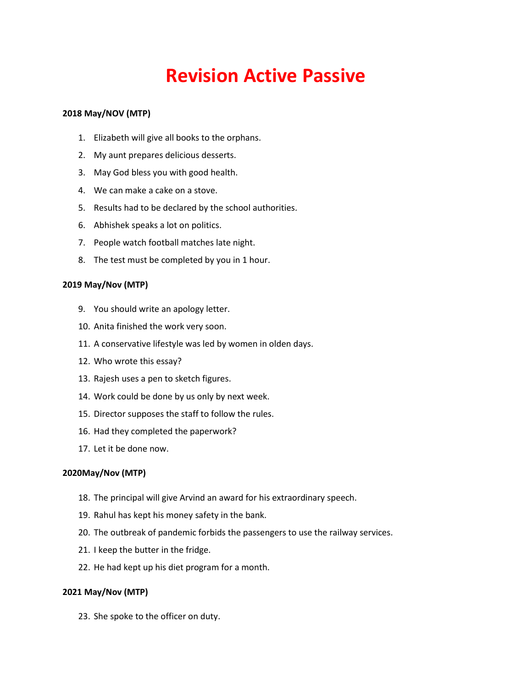# **Revision Active Passive**

## **2018 May/NOV (MTP)**

- 1. Elizabeth will give all books to the orphans.
- 2. My aunt prepares delicious desserts.
- 3. May God bless you with good health.
- 4. We can make a cake on a stove.
- 5. Results had to be declared by the school authorities.
- 6. Abhishek speaks a lot on politics.
- 7. People watch football matches late night.
- 8. The test must be completed by you in 1 hour.

## **2019 May/Nov (MTP)**

- 9. You should write an apology letter.
- 10. Anita finished the work very soon.
- 11. A conservative lifestyle was led by women in olden days.
- 12. Who wrote this essay?
- 13. Rajesh uses a pen to sketch figures.
- 14. Work could be done by us only by next week.
- 15. Director supposes the staff to follow the rules.
- 16. Had they completed the paperwork?
- 17. Let it be done now.

## **2020May/Nov (MTP)**

- 18. The principal will give Arvind an award for his extraordinary speech.
- 19. Rahul has kept his money safety in the bank.
- 20. The outbreak of pandemic forbids the passengers to use the railway services.
- 21. I keep the butter in the fridge.
- 22. He had kept up his diet program for a month.

## **2021 May/Nov (MTP)**

23. She spoke to the officer on duty.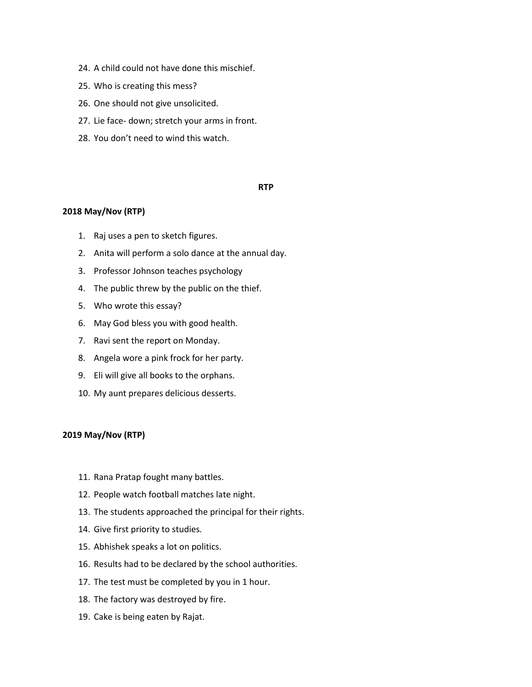- 24. A child could not have done this mischief.
- 25. Who is creating this mess?
- 26. One should not give unsolicited.
- 27. Lie face- down; stretch your arms in front.
- 28. You don't need to wind this watch.

## **RTP**

## **2018 May/Nov (RTP)**

- 1. Raj uses a pen to sketch figures.
- 2. Anita will perform a solo dance at the annual day.
- 3. Professor Johnson teaches psychology
- 4. The public threw by the public on the thief.
- 5. Who wrote this essay?
- 6. May God bless you with good health.
- 7. Ravi sent the report on Monday.
- 8. Angela wore a pink frock for her party.
- 9. Eli will give all books to the orphans.
- 10. My aunt prepares delicious desserts.

## **2019 May/Nov (RTP)**

- 11. Rana Pratap fought many battles.
- 12. People watch football matches late night.
- 13. The students approached the principal for their rights.
- 14. Give first priority to studies.
- 15. Abhishek speaks a lot on politics.
- 16. Results had to be declared by the school authorities.
- 17. The test must be completed by you in 1 hour.
- 18. The factory was destroyed by fire.
- 19. Cake is being eaten by Rajat.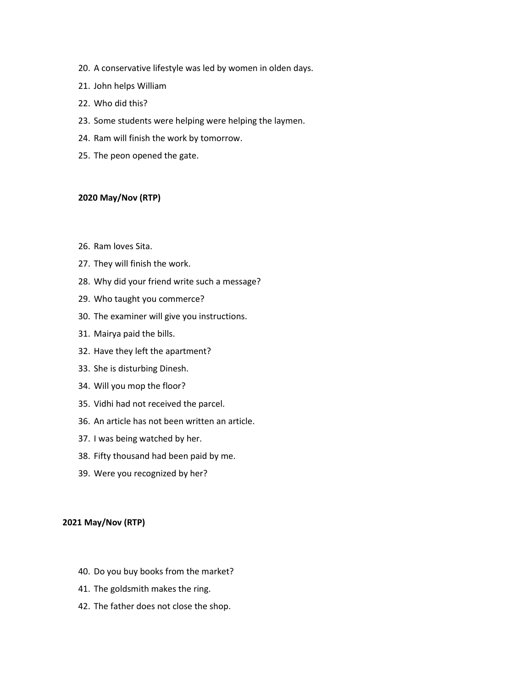- 20. A conservative lifestyle was led by women in olden days.
- 21. John helps William
- 22. Who did this?
- 23. Some students were helping were helping the laymen.
- 24. Ram will finish the work by tomorrow.
- 25. The peon opened the gate.

## **2020 May/Nov (RTP)**

- 26. Ram loves Sita.
- 27. They will finish the work.
- 28. Why did your friend write such a message?
- 29. Who taught you commerce?
- 30. The examiner will give you instructions.
- 31. Mairya paid the bills.
- 32. Have they left the apartment?
- 33. She is disturbing Dinesh.
- 34. Will you mop the floor?
- 35. Vidhi had not received the parcel.
- 36. An article has not been written an article.
- 37. I was being watched by her.
- 38. Fifty thousand had been paid by me.
- 39. Were you recognized by her?

#### **2021 May/Nov (RTP)**

- 40. Do you buy books from the market?
- 41. The goldsmith makes the ring.
- 42. The father does not close the shop.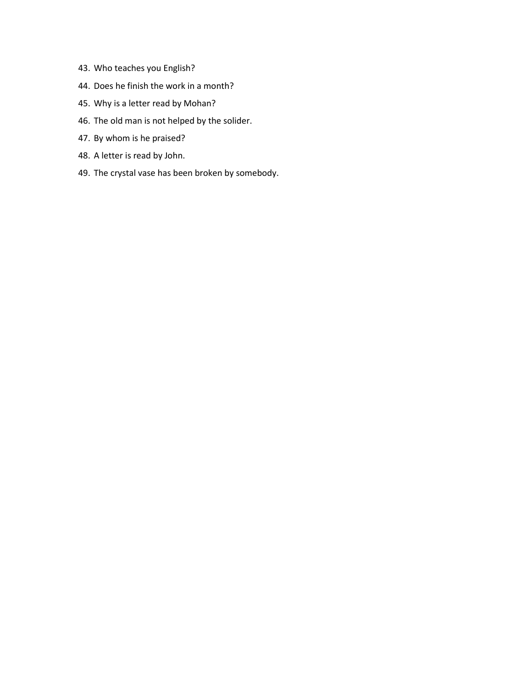- 43. Who teaches you English?
- 44. Does he finish the work in a month?
- 45. Why is a letter read by Mohan?
- 46. The old man is not helped by the solider.
- 47. By whom is he praised?
- 48. A letter is read by John.
- 49. The crystal vase has been broken by somebody.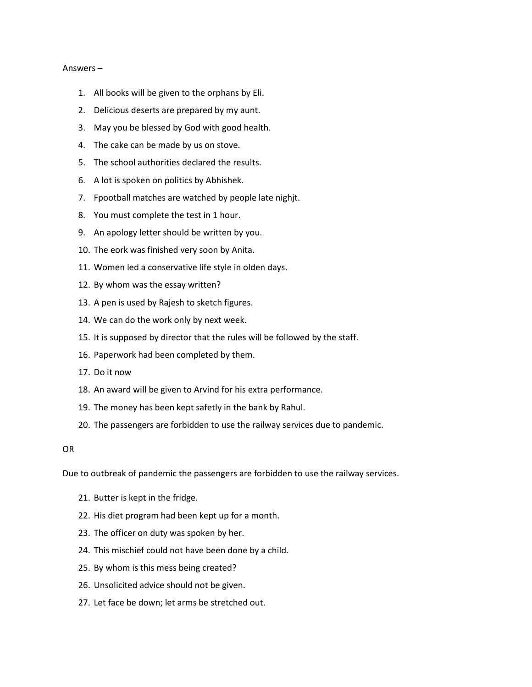#### Answers –

- 1. All books will be given to the orphans by Eli.
- 2. Delicious deserts are prepared by my aunt.
- 3. May you be blessed by God with good health.
- 4. The cake can be made by us on stove.
- 5. The school authorities declared the results.
- 6. A lot is spoken on politics by Abhishek.
- 7. Fpootball matches are watched by people late nighjt.
- 8. You must complete the test in 1 hour.
- 9. An apology letter should be written by you.
- 10. The eork was finished very soon by Anita.
- 11. Women led a conservative life style in olden days.
- 12. By whom was the essay written?
- 13. A pen is used by Rajesh to sketch figures.
- 14. We can do the work only by next week.
- 15. It is supposed by director that the rules will be followed by the staff.
- 16. Paperwork had been completed by them.
- 17. Do it now
- 18. An award will be given to Arvind for his extra performance.
- 19. The money has been kept safetly in the bank by Rahul.
- 20. The passengers are forbidden to use the railway services due to pandemic.

## OR

Due to outbreak of pandemic the passengers are forbidden to use the railway services.

- 21. Butter is kept in the fridge.
- 22. His diet program had been kept up for a month.
- 23. The officer on duty was spoken by her.
- 24. This mischief could not have been done by a child.
- 25. By whom is this mess being created?
- 26. Unsolicited advice should not be given.
- 27. Let face be down; let arms be stretched out.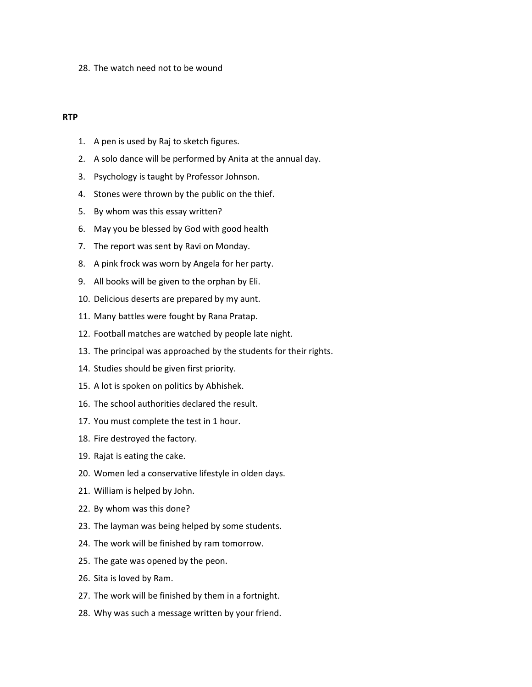28. The watch need not to be wound

## **RTP**

- 1. A pen is used by Raj to sketch figures.
- 2. A solo dance will be performed by Anita at the annual day.
- 3. Psychology is taught by Professor Johnson.
- 4. Stones were thrown by the public on the thief.
- 5. By whom was this essay written?
- 6. May you be blessed by God with good health
- 7. The report was sent by Ravi on Monday.
- 8. A pink frock was worn by Angela for her party.
- 9. All books will be given to the orphan by Eli.
- 10. Delicious deserts are prepared by my aunt.
- 11. Many battles were fought by Rana Pratap.
- 12. Football matches are watched by people late night.
- 13. The principal was approached by the students for their rights.
- 14. Studies should be given first priority.
- 15. A lot is spoken on politics by Abhishek.
- 16. The school authorities declared the result.
- 17. You must complete the test in 1 hour.
- 18. Fire destroyed the factory.
- 19. Rajat is eating the cake.
- 20. Women led a conservative lifestyle in olden days.
- 21. William is helped by John.
- 22. By whom was this done?
- 23. The layman was being helped by some students.
- 24. The work will be finished by ram tomorrow.
- 25. The gate was opened by the peon.
- 26. Sita is loved by Ram.
- 27. The work will be finished by them in a fortnight.
- 28. Why was such a message written by your friend.